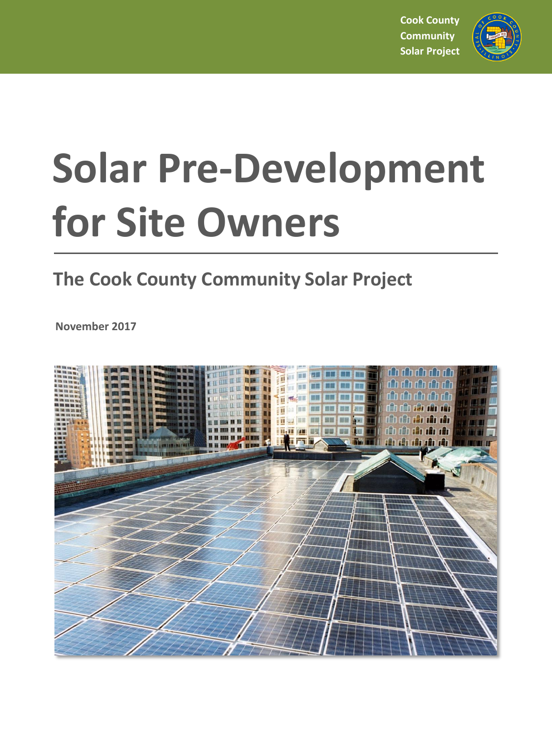**Cook County Community Solar Project**



# **Solar Pre-Development for Site Owners**

# **The Cook County Community Solar Project**

**November 2017**

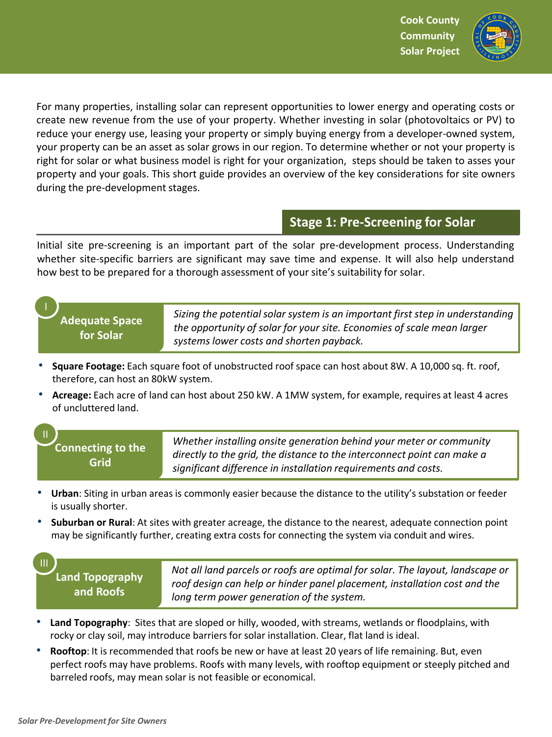

For many properties, installing solar can represent opportunities to lower energy and operating costs or create new revenue from the use of your property. Whether investing in solar (photovoltaics or PV) to reduce your energy use, leasing your property or simply buying energy from a developer-owned system, your property can be an asset as solar grows in our region. To determine whether or not your property is right for solar or what business model is right for your organization, steps should be taken to asses your property and your goals. This short guide provides an overview of the key considerations for site owners during the pre-development stages.

## **Stage 1: Pre-Screening for Solar**

Initial site pre-screening is an important part of the solar pre-development process. Understanding whether site-specific barriers are significant may save time and expense. It will also help understand how best to be prepared for a thorough assessment of your site's suitability for solar.

**Adequate Space for Solar**

I

III

*Sizing the potential solar system is an important first step in understanding the opportunity of solar for your site. Economies of scale mean larger systems lower costs and shorten payback.*

- **Square Footage:** Each square foot of unobstructed roof space can host about 8W. A 10,000 sq. ft. roof, therefore, can host an 80kW system.
- **Acreage:** Each acre of land can host about 250 kW. A 1MW system, for example, requires at least 4 acres of uncluttered land.

### **Connecting to the Grid** II

*Whether installing onsite generation behind your meter or community directly to the grid, the distance to the interconnect point can make a significant difference in installation requirements and costs.*

- **Urban**: Siting in urban areas is commonly easier because the distance to the utility's substation or feeder is usually shorter.
- **Suburban or Rural**: At sites with greater acreage, the distance to the nearest, adequate connection point may be significantly further, creating extra costs for connecting the system via conduit and wires.

**Land Topography and Roofs**

*Not all land parcels or roofs are optimal for solar. The layout, landscape or roof design can help or hinder panel placement, installation cost and the long term power generation of the system.*

- **Land Topography**: Sites that are sloped or hilly, wooded, with streams, wetlands or floodplains, with rocky or clay soil, may introduce barriers for solar installation. Clear, flat land is ideal.
- **Rooftop**: It is recommended that roofs be new or have at least 20 years of life remaining. But, even perfect roofs may have problems. Roofs with many levels, with rooftop equipment or steeply pitched and barreled roofs, may mean solar is not feasible or economical.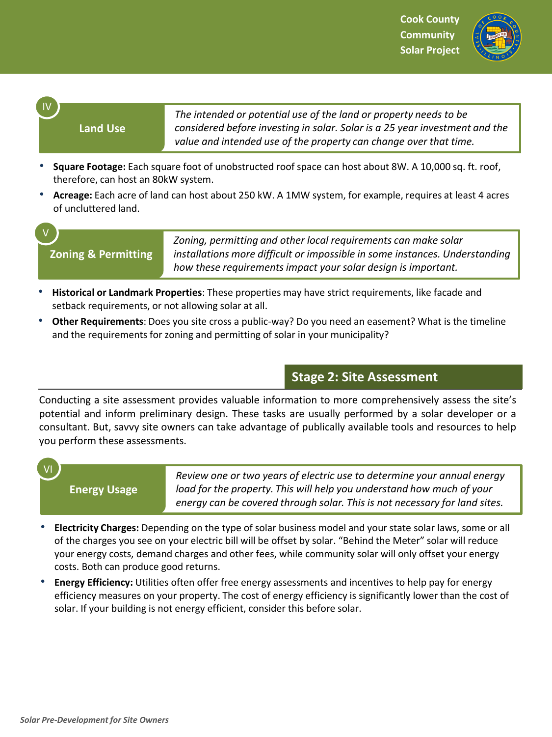

#### **Land Use**

IV

V

*The intended or potential use of the land or property needs to be considered before investing in solar. Solar is a 25 year investment and the value and intended use of the property can change over that time.*

- **Square Footage:** Each square foot of unobstructed roof space can host about 8W. A 10,000 sq. ft. roof, therefore, can host an 80kW system.
- **Acreage:** Each acre of land can host about 250 kW. A 1MW system, for example, requires at least 4 acres of uncluttered land.

**Zoning & Permitting**

*Zoning, permitting and other local requirements can make solar installations more difficult or impossible in some instances. Understanding how these requirements impact your solar design is important.*

- **Historical or Landmark Properties**: These properties may have strict requirements, like facade and setback requirements, or not allowing solar at all.
- **Other Requirements**: Does you site cross a public-way? Do you need an easement? What is the timeline and the requirements for zoning and permitting of solar in your municipality?

## **Stage 2: Site Assessment**

Conducting a site assessment provides valuable information to more comprehensively assess the site's potential and inform preliminary design. These tasks are usually performed by a solar developer or a consultant. But, savvy site owners can take advantage of publically available tools and resources to help you perform these assessments.

VI

**Energy Usage**

*Review one or two years of electric use to determine your annual energy load for the property. This will help you understand how much of your energy can be covered through solar. This is not necessary for land sites.*

- **Electricity Charges:** Depending on the type of solar business model and your state solar laws, some or all of the charges you see on your electric bill will be offset by solar. "Behind the Meter" solar will reduce your energy costs, demand charges and other fees, while community solar will only offset your energy costs. Both can produce good returns.
- **Energy Efficiency:** Utilities often offer free energy assessments and incentives to help pay for energy efficiency measures on your property. The cost of energy efficiency is significantly lower than the cost of solar. If your building is not energy efficient, consider this before solar.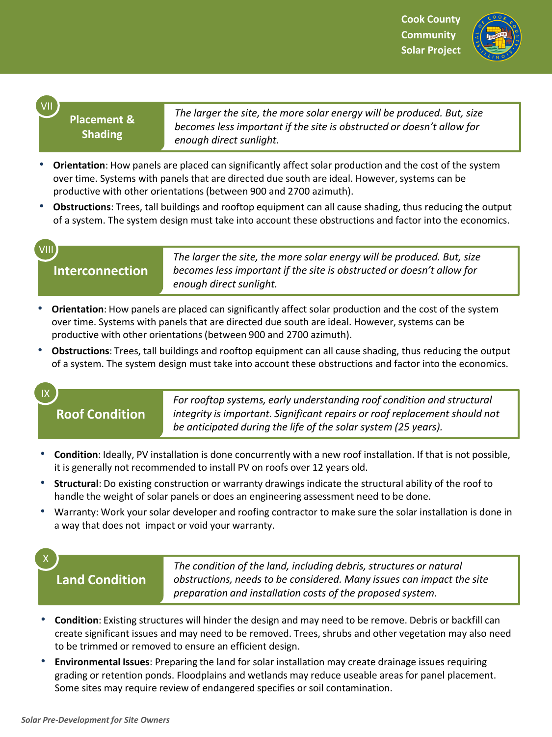

## **Placement & Shading**

*The larger the site, the more solar energy will be produced. But, size becomes less important if the site is obstructed or doesn't allow for enough direct sunlight.*

- **Orientation**: How panels are placed can significantly affect solar production and the cost of the system over time. Systems with panels that are directed due south are ideal. However, systems can be productive with other orientations (between 900 and 2700 azimuth).
- **Obstructions**: Trees, tall buildings and rooftop equipment can all cause shading, thus reducing the output of a system. The system design must take into account these obstructions and factor into the economics.

# VIII

VII

**Interconnection**

*The larger the site, the more solar energy will be produced. But, size becomes less important if the site is obstructed or doesn't allow for enough direct sunlight.*

- **Orientation**: How panels are placed can significantly affect solar production and the cost of the system over time. Systems with panels that are directed due south are ideal. However, systems can be productive with other orientations (between 900 and 2700 azimuth).
- **Obstructions**: Trees, tall buildings and rooftop equipment can all cause shading, thus reducing the output of a system. The system design must take into account these obstructions and factor into the economics.

### IX

## **Roof Condition**

*For rooftop systems, early understanding roof condition and structural integrity is important. Significant repairs or roof replacement should not be anticipated during the life of the solar system (25 years).*

- **Condition**: Ideally, PV installation is done concurrently with a new roof installation. If that is not possible, it is generally not recommended to install PV on roofs over 12 years old.
- **Structural**: Do existing construction or warranty drawings indicate the structural ability of the roof to handle the weight of solar panels or does an engineering assessment need to be done.
- Warranty: Work your solar developer and roofing contractor to make sure the solar installation is done in a way that does not impact or void your warranty.

## X

**Land Condition**

*The condition of the land, including debris, structures or natural obstructions, needs to be considered. Many issues can impact the site preparation and installation costs of the proposed system.*

- **Condition**: Existing structures will hinder the design and may need to be remove. Debris or backfill can create significant issues and may need to be removed. Trees, shrubs and other vegetation may also need to be trimmed or removed to ensure an efficient design.
- **Environmental Issues**: Preparing the land for solar installation may create drainage issues requiring grading or retention ponds. Floodplains and wetlands may reduce useable areas for panel placement. Some sites may require review of endangered specifies or soil contamination.